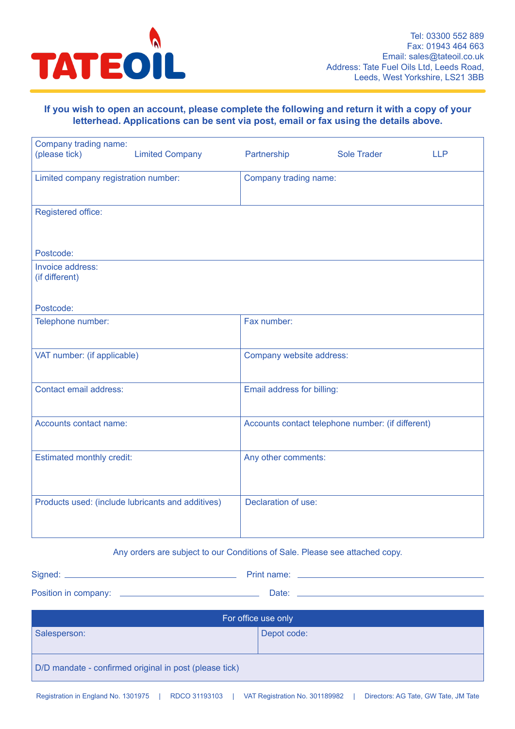

#### **If you wish to open an account, please complete the following and return it with a copy of your letterhead. Applications can be sent via post, email or fax using the details above.**

| Company trading name:<br>(please tick)            | <b>Limited Company</b> | Partnership                | <b>Sole Trader</b>                                | <b>LLP</b> |
|---------------------------------------------------|------------------------|----------------------------|---------------------------------------------------|------------|
| Limited company registration number:              |                        | Company trading name:      |                                                   |            |
| Registered office:                                |                        |                            |                                                   |            |
| Postcode:                                         |                        |                            |                                                   |            |
| Invoice address:<br>(if different)                |                        |                            |                                                   |            |
| Postcode:                                         |                        |                            |                                                   |            |
| Telephone number:                                 |                        | Fax number:                |                                                   |            |
| VAT number: (if applicable)                       |                        | Company website address:   |                                                   |            |
| Contact email address:                            |                        | Email address for billing: |                                                   |            |
| Accounts contact name:                            |                        |                            | Accounts contact telephone number: (if different) |            |
| <b>Estimated monthly credit:</b>                  |                        | Any other comments:        |                                                   |            |
| Products used: (include lubricants and additives) |                        | Declaration of use:        |                                                   |            |

#### Any orders are subject to our Conditions of Sale. Please see attached copy.

| Signed:              | Print name: |
|----------------------|-------------|
| Position in company: | Date:       |

| For office use only                                    |             |  |
|--------------------------------------------------------|-------------|--|
| Salesperson:                                           | Depot code: |  |
| D/D mandate - confirmed original in post (please tick) |             |  |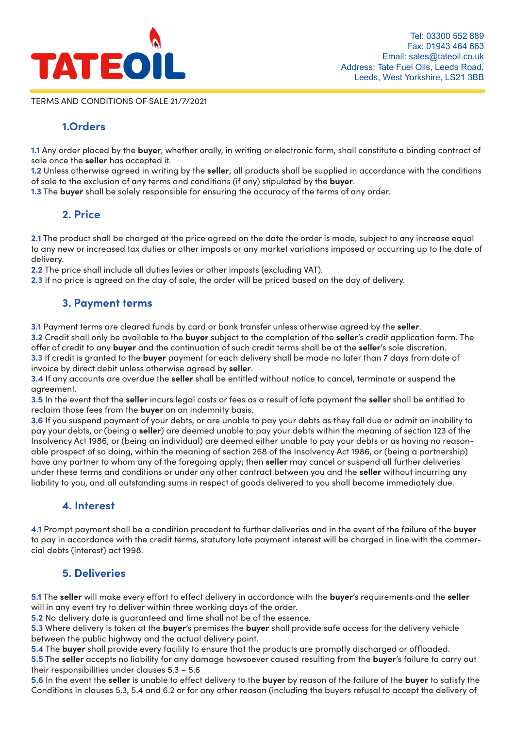

TERMS AND CONDITIONS OF SALE 21/7/2021

#### **1.Orders letterhead. Applications can be sent via post, email or fax using the details above.**

**1.1** Any order placed by the **buyer**, whether orally, in writing or electronic form, shall constitute a binding contract of sale once the **seller** has accepted it. The place time of the **company of the partnership Sole** Trader Company Partnership Sole Trader Leptung Company Co<br>The United States of the Company Partnership Sole Trader Leptung Company Partnership Solemn Constitute Origi

**1.2** Unless otherwise agreed in writing by the **seller**, all products shall be supplied in accordance with the conditions of sale to the exclusion of any terms and conditions (if any) stipulated by the **buyer**.

**1.3** The **buyer** shall be solely responsible for ensuring the accuracy of the terms of any order.

#### **2. Price**

**2.1** The product shall be charged at the price agreed on the date the order is made, subject to any increase equal to any new or increased tax duties or other imposts or any market variations imposed or occurring up to the date of ro any new<br>delivery.

2.2 The price shall include all duties levies or other imposts (excluding VAT).

2.3 If no price is agreed on the day of sale, the order will be priced based on the day of delivery.

## **3. Payment terms**

**3.1** Payment terms are cleared funds by card or bank transfer unless otherwise agreed by the **seller**.

**3.2** Credit shall only be available to the **buyer** subject to the completion of the **seller**'s credit application form. The offer of credit to any **buyer** and the continuation of such credit terms shall be at the **seller**'s sole discretion. 3.3 If credit is granted to the buyer payment for each delivery shall be made no later than 7 days from date of invoice by direct debit unless otherwise agreed by **seller**.

**3.4** If any accounts are overdue the **seller** shall be entitled without notice to cancel, terminate or suspend the agreement. The contact email address for billing: Email address: Email address for billion  $\mathcal{L}$ 

**3.5** In the event that the **seller** incurs legal costs or fees as a result of late payment the **seller** shall be entitled to reclaim those fees from the **buyer** on an indemnity basis.

**3.6** If you suspend payment of your debts, or are unable to pay your debts as they fall due or admit an inability to pay your debts, or (being a **seller**) are deemed unable to pay your debts within the meaning of section 123 of the Insolvency Act 1986, or (being an individual) are deemed either unable to pay your debts or as having no reasonable prospect of so doing, within the meaning of section 268 of the Insolvency Act 1986, or (being a partnership) have any partner to whom any of the foregoing apply; then **seller** may cancel or suspend all further deliveries have any partner to whom any of the foregoing apply; then **seller** may cancel or suspend all further deliverie under these terms and conditions or under any other contract between you and the **seller** without incurring any liability to you, and all outstanding sums in respect of goods delivered to you shall become immediately due.

### **4. Interest and additives**

**4.1** Prompt payment shall be a condition precedent to further deliveries and in the event of the failure of the **buyer** to pay in accordance with the credit terms, statutory late payment interest will be charged in line with the commercial debts (interest) act 1998. Any orders are subject to our Conditions of Sale. Please see at the Sale. Please see at the Sale. Please see at

#### **5. Deliveries**

**5.1** The **seller** will make every effort to effect delivery in accordance with the **buyer'**s requirements and the **seller** will in any event try to deliver within three working days of the order.

**5.2** No delivery date is guaranteed and time shall not be of the essence.

**5.3** Where delivery is taken at the **buyer**'s premises the **buyer** shall provide safe access for the delivery vehicle **BETWEET CONCLUTE THE DEFECT SPICIFISCS THE DEFECT STAIL PLOT**<br>between the public highway and the actual delivery point.

**5.4** The **buyer** shall provide every facility to ensure that the products are promptly discharged or offloaded.

**5.5** The **seller** accepts no liability for any damage howsoever caused resulting from the **buyer**'s failure to carry out their responsibilities under clauses  $5.3$  –  $5.6$ 

**5.6** In the event the **seller** is unable to effect delivery to the **buyer** by reason of the failure of the **buyer** to satisfy the Conditions in clauses 5.3, 5.4 and 6.2 or for any other reason (including the buyers refusal to accept the delivery of Registration in England No. 1301975 | Rocketter No. 31193103 | VAT Registration No. 301975 | Directors: AG Tate, JM Tate, JM Tate, JM Tate, JM Tate, JM Tate, JM Tate, JM Tate, JM Tate, JM Tate, JM Tate, JM Tate, JM Tate, J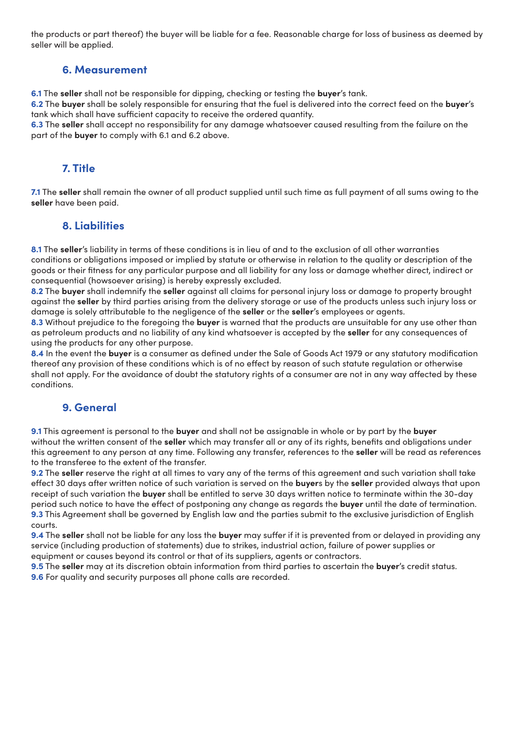the products or part thereof) the buyer will be liable for a fee. Reasonable charge for loss of business as deemed by seller will be applied.

#### **6. Measurement**

**6.1** The **seller** shall not be responsible for dipping, checking or testing the **buyer**'s tank.

**6.2** The **buyer** shall be solely responsible for ensuring that the fuel is delivered into the correct feed on the **buyer**'s tank which shall have sufficient capacity to receive the ordered quantity.

**6.3** The **seller** shall accept no responsibility for any damage whatsoever caused resulting from the failure on the part of the **buyer** to comply with 6.1 and 6.2 above.

#### **7. Title**

**7.1** The **seller** shall remain the owner of all product supplied until such time as full payment of all sums owing to the **seller** have been paid.

#### **8. Liabilities**

**8.1** The **seller**'s liability in terms of these conditions is in lieu of and to the exclusion of all other warranties conditions or obligations imposed or implied by statute or otherwise in relation to the quality or description of the goods or their fitness for any particular purpose and all liability for any loss or damage whether direct, indirect or consequential (howsoever arising) is hereby expressly excluded.

**8.2** The **buyer** shall indemnify the **seller** against all claims for personal injury loss or damage to property brought against the **seller** by third parties arising from the delivery storage or use of the products unless such injury loss or damage is solely attributable to the negligence of the **seller** or the **seller**'s employees or agents.

**8.3** Without prejudice to the foregoing the **buyer** is warned that the products are unsuitable for any use other than as petroleum products and no liability of any kind whatsoever is accepted by the **seller** for any consequences of using the products for any other purpose.

**8.4** In the event the **buyer** is a consumer as defined under the Sale of Goods Act 1979 or any statutory modification thereof any provision of these conditions which is of no effect by reason of such statute regulation or otherwise shall not apply. For the avoidance of doubt the statutory rights of a consumer are not in any way affected by these conditions.

#### **9. General**

**9.1** This agreement is personal to the **buyer** and shall not be assignable in whole or by part by the **buyer** without the written consent of the **seller** which may transfer all or any of its rights, benefits and obligations under this agreement to any person at any time. Following any transfer, references to the **seller** will be read as references to the transferee to the extent of the transfer.

**9.2** The **seller** reserve the right at all times to vary any of the terms of this agreement and such variation shall take effect 30 days after written notice of such variation is served on the **buyer**s by the **seller** provided always that upon receipt of such variation the **buyer** shall be entitled to serve 30 days written notice to terminate within the 30-day period such notice to have the effect of postponing any change as regards the **buyer** until the date of termination. **9.3** This Agreement shall be governed by English law and the parties submit to the exclusive jurisdiction of English courts.

**9.4** The **seller** shall not be liable for any loss the **buyer** may suffer if it is prevented from or delayed in providing any service (including production of statements) due to strikes, industrial action, failure of power supplies or equipment or causes beyond its control or that of its suppliers, agents or contractors.

**9.5** The **seller** may at its discretion obtain information from third parties to ascertain the **buyer**'s credit status. **9.6** For quality and security purposes all phone calls are recorded.